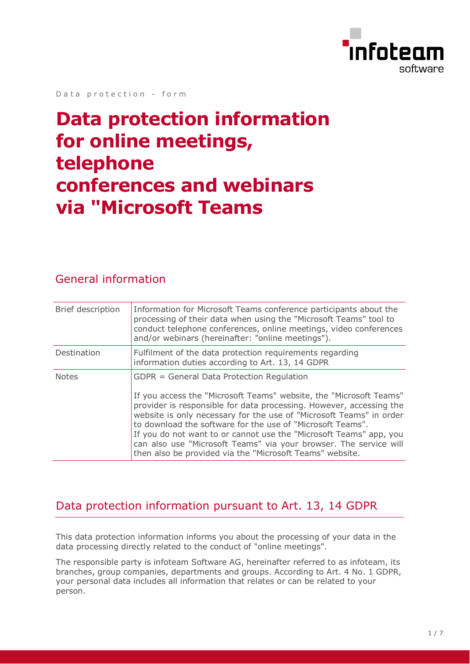

Data protection - form

# **Data protection information for online meetings, telephone conferences and webinars via "Microsoft Teams**

#### General information

| Brief description | Information for Microsoft Teams conference participants about the<br>processing of their data when using the "Microsoft Teams" tool to<br>conduct telephone conferences, online meetings, video conferences<br>and/or webinars (hereinafter: "online meetings").                                                                                                                                                                                                                                                                   |
|-------------------|------------------------------------------------------------------------------------------------------------------------------------------------------------------------------------------------------------------------------------------------------------------------------------------------------------------------------------------------------------------------------------------------------------------------------------------------------------------------------------------------------------------------------------|
| Destination       | Fulfilment of the data protection requirements regarding<br>information duties according to Art. 13, 14 GDPR                                                                                                                                                                                                                                                                                                                                                                                                                       |
| <b>Notes</b>      | GDPR = General Data Protection Regulation<br>If you access the "Microsoft Teams" website, the "Microsoft Teams"<br>provider is responsible for data processing. However, accessing the<br>website is only necessary for the use of "Microsoft Teams" in order<br>to download the software for the use of "Microsoft Teams".<br>If you do not want to or cannot use the "Microsoft Teams" app, you<br>can also use "Microsoft Teams" via your browser. The service will<br>then also be provided via the "Microsoft Teams" website. |

#### Data protection information pursuant to Art. 13, 14 GDPR

This data protection information informs you about the processing of your data in the data processing directly related to the conduct of "online meetings".

The responsible party is infoteam Software AG, hereinafter referred to as infoteam, its branches, group companies, departments and groups. According to Art. 4 No. 1 GDPR, your personal data includes all information that relates or can be related to your person.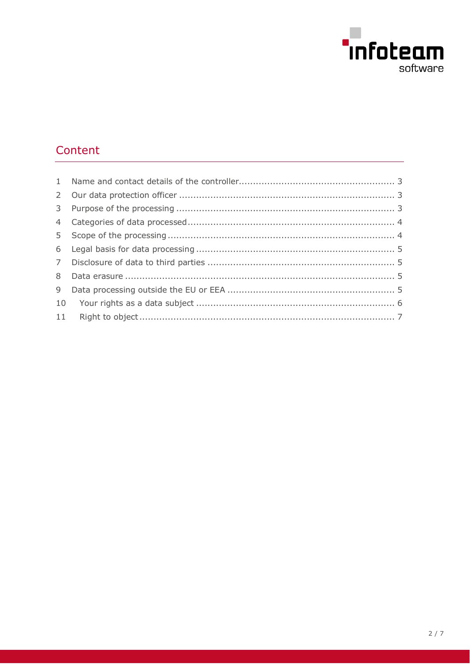

# Content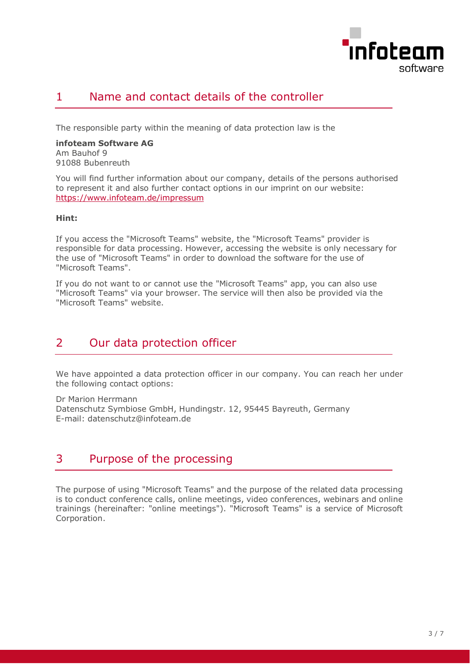

### <span id="page-2-0"></span>1 Name and contact details of the controller

The responsible party within the meaning of data protection law is the

**infoteam Software AG** Am Bauhof 9 91088 Bubenreuth

You will find further information about our company, details of the persons authorised to represent it and also further contact options in our imprint on our website: https://www.infoteam.de/impressum

#### **Hint:**

If you access the "Microsoft Teams" website, the "Microsoft Teams" provider is responsible for data processing. However, accessing the website is only necessary for the use of "Microsoft Teams" in order to download the software for the use of "Microsoft Teams".

If you do not want to or cannot use the "Microsoft Teams" app, you can also use "Microsoft Teams" via your browser. The service will then also be provided via the "Microsoft Teams" website.

#### <span id="page-2-1"></span>2 Our data protection officer

We have appointed a data protection officer in our company. You can reach her under the following contact options:

Dr Marion Herrmann Datenschutz Symbiose GmbH, Hundingstr. 12, 95445 Bayreuth, Germany E-mail: datenschutz@infoteam.de

### <span id="page-2-2"></span>3 Purpose of the processing

The purpose of using "Microsoft Teams" and the purpose of the related data processing is to conduct conference calls, online meetings, video conferences, webinars and online trainings (hereinafter: "online meetings"). "Microsoft Teams" is a service of Microsoft Corporation.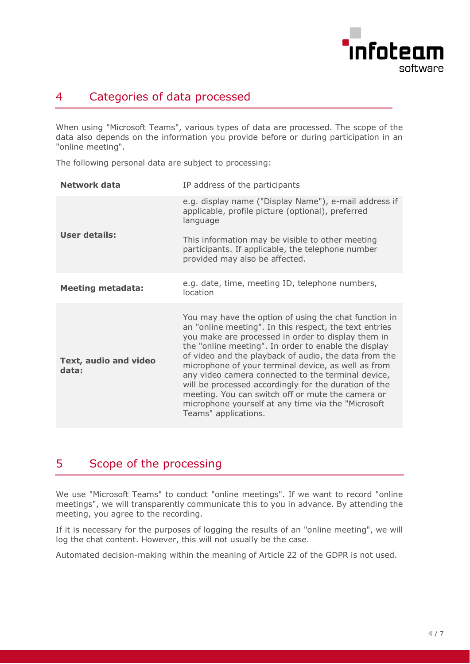

### <span id="page-3-0"></span>4 Categories of data processed

When using "Microsoft Teams", various types of data are processed. The scope of the data also depends on the information you provide before or during participation in an "online meeting".

The following personal data are subject to processing:

| Network data                   | IP address of the participants                                                                                                                                                                                                                                                                                                                                                                                                                                                                                                                                                                   |
|--------------------------------|--------------------------------------------------------------------------------------------------------------------------------------------------------------------------------------------------------------------------------------------------------------------------------------------------------------------------------------------------------------------------------------------------------------------------------------------------------------------------------------------------------------------------------------------------------------------------------------------------|
|                                | e.g. display name ("Display Name"), e-mail address if<br>applicable, profile picture (optional), preferred<br>language                                                                                                                                                                                                                                                                                                                                                                                                                                                                           |
| <b>User details:</b>           | This information may be visible to other meeting<br>participants. If applicable, the telephone number<br>provided may also be affected.                                                                                                                                                                                                                                                                                                                                                                                                                                                          |
| <b>Meeting metadata:</b>       | e.g. date, time, meeting ID, telephone numbers,<br>location                                                                                                                                                                                                                                                                                                                                                                                                                                                                                                                                      |
| Text, audio and video<br>data: | You may have the option of using the chat function in<br>an "online meeting". In this respect, the text entries<br>you make are processed in order to display them in<br>the "online meeting". In order to enable the display<br>of video and the playback of audio, the data from the<br>microphone of your terminal device, as well as from<br>any video camera connected to the terminal device,<br>will be processed accordingly for the duration of the<br>meeting. You can switch off or mute the camera or<br>microphone yourself at any time via the "Microsoft"<br>Teams" applications. |

# <span id="page-3-1"></span>5 Scope of the processing

We use "Microsoft Teams" to conduct "online meetings". If we want to record "online meetings", we will transparently communicate this to you in advance. By attending the meeting, you agree to the recording.

If it is necessary for the purposes of logging the results of an "online meeting", we will log the chat content. However, this will not usually be the case.

Automated decision-making within the meaning of Article 22 of the GDPR is not used.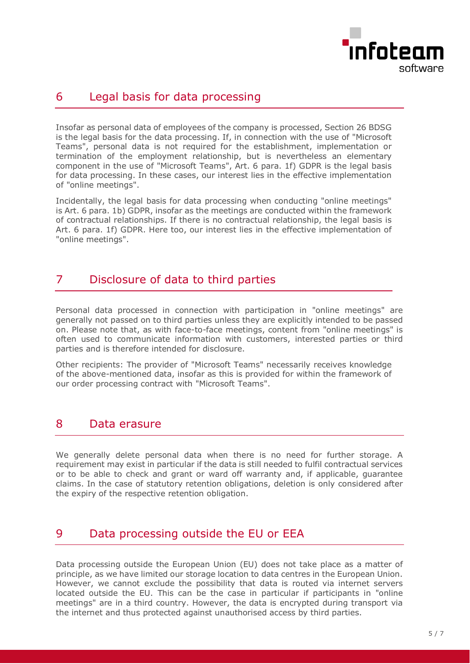

#### <span id="page-4-0"></span>6 Legal basis for data processing

Insofar as personal data of employees of the company is processed, Section 26 BDSG is the legal basis for the data processing. If, in connection with the use of "Microsoft Teams", personal data is not required for the establishment, implementation or termination of the employment relationship, but is nevertheless an elementary component in the use of "Microsoft Teams", Art. 6 para. 1f) GDPR is the legal basis for data processing. In these cases, our interest lies in the effective implementation of "online meetings".

Incidentally, the legal basis for data processing when conducting "online meetings" is Art. 6 para. 1b) GDPR, insofar as the meetings are conducted within the framework of contractual relationships. If there is no contractual relationship, the legal basis is Art. 6 para. 1f) GDPR. Here too, our interest lies in the effective implementation of "online meetings".

## <span id="page-4-1"></span>7 Disclosure of data to third parties

Personal data processed in connection with participation in "online meetings" are generally not passed on to third parties unless they are explicitly intended to be passed on. Please note that, as with face-to-face meetings, content from "online meetings" is often used to communicate information with customers, interested parties or third parties and is therefore intended for disclosure.

Other recipients: The provider of "Microsoft Teams" necessarily receives knowledge of the above-mentioned data, insofar as this is provided for within the framework of our order processing contract with "Microsoft Teams".

#### <span id="page-4-2"></span>8 Data erasure

We generally delete personal data when there is no need for further storage. A requirement may exist in particular if the data is still needed to fulfil contractual services or to be able to check and grant or ward off warranty and, if applicable, guarantee claims. In the case of statutory retention obligations, deletion is only considered after the expiry of the respective retention obligation.

# <span id="page-4-3"></span>9 Data processing outside the EU or EEA

Data processing outside the European Union (EU) does not take place as a matter of principle, as we have limited our storage location to data centres in the European Union. However, we cannot exclude the possibility that data is routed via internet servers located outside the EU. This can be the case in particular if participants in "online meetings" are in a third country. However, the data is encrypted during transport via the internet and thus protected against unauthorised access by third parties.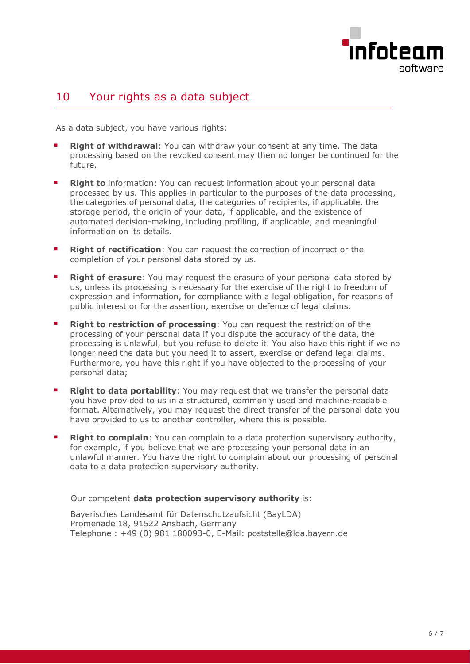

#### <span id="page-5-0"></span>10 Your rights as a data subject

As a data subject, you have various rights:

- **Right of withdrawal:** You can withdraw your consent at any time. The data processing based on the revoked consent may then no longer be continued for the future.
- **Right to** information: You can request information about your personal data processed by us. This applies in particular to the purposes of the data processing, the categories of personal data, the categories of recipients, if applicable, the storage period, the origin of your data, if applicable, and the existence of automated decision-making, including profiling, if applicable, and meaningful information on its details.
- **Right of rectification:** You can request the correction of incorrect or the completion of your personal data stored by us.
- **Right of erasure**: You may request the erasure of your personal data stored by us, unless its processing is necessary for the exercise of the right to freedom of expression and information, for compliance with a legal obligation, for reasons of public interest or for the assertion, exercise or defence of legal claims.
- **Right to restriction of processing: You can request the restriction of the** processing of your personal data if you dispute the accuracy of the data, the processing is unlawful, but you refuse to delete it. You also have this right if we no longer need the data but you need it to assert, exercise or defend legal claims. Furthermore, you have this right if you have objected to the processing of your personal data;
- **Right to data portability**: You may request that we transfer the personal data you have provided to us in a structured, commonly used and machine-readable format. Alternatively, you may request the direct transfer of the personal data you have provided to us to another controller, where this is possible.
- **Right to complain**: You can complain to a data protection supervisory authority, for example, if you believe that we are processing your personal data in an unlawful manner. You have the right to complain about our processing of personal data to a data protection supervisory authority.

#### Our competent **data protection supervisory authority** is:

Bayerisches Landesamt für Datenschutzaufsicht (BayLDA) Promenade 18, 91522 Ansbach, Germany Telephone : +49 (0) 981 180093-0, E-Mail: poststelle@lda.bayern.de